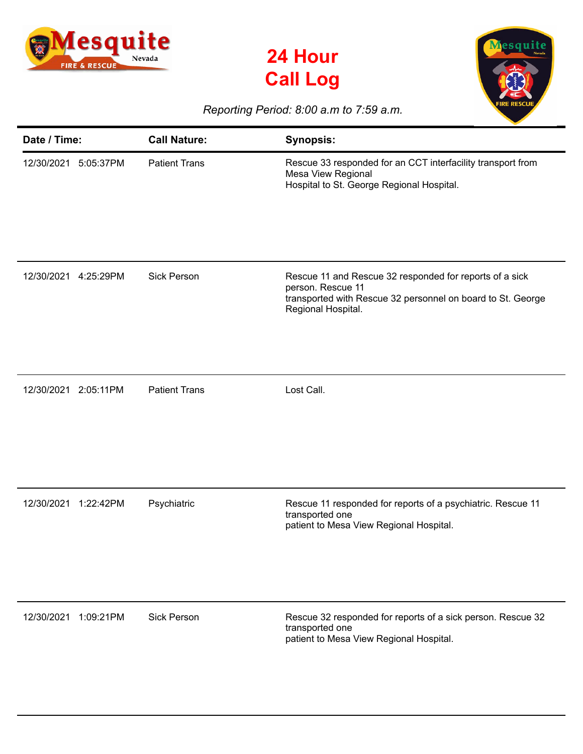





## *Reporting Period: 8:00 a.m to 7:59 a.m.*

| Date / Time:            | <b>Call Nature:</b>  | <b>Synopsis:</b>                                                                                                                                                  |
|-------------------------|----------------------|-------------------------------------------------------------------------------------------------------------------------------------------------------------------|
| 12/30/2021<br>5:05:37PM | <b>Patient Trans</b> | Rescue 33 responded for an CCT interfacility transport from<br>Mesa View Regional<br>Hospital to St. George Regional Hospital.                                    |
| 12/30/2021<br>4:25:29PM | <b>Sick Person</b>   | Rescue 11 and Rescue 32 responded for reports of a sick<br>person. Rescue 11<br>transported with Rescue 32 personnel on board to St. George<br>Regional Hospital. |
| 12/30/2021 2:05:11PM    | <b>Patient Trans</b> | Lost Call.                                                                                                                                                        |
| 12/30/2021<br>1:22:42PM | Psychiatric          | Rescue 11 responded for reports of a psychiatric. Rescue 11<br>transported one<br>patient to Mesa View Regional Hospital.                                         |
| 12/30/2021<br>1:09:21PM | <b>Sick Person</b>   | Rescue 32 responded for reports of a sick person. Rescue 32<br>transported one<br>patient to Mesa View Regional Hospital.                                         |